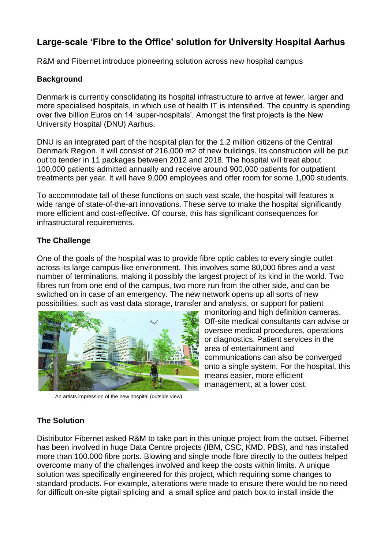# **Large-scale 'Fibre to the Office' solution for University Hospital Aarhus**

R&M and Fibernet introduce pioneering solution across new hospital campus

### **Background**

Denmark is currently consolidating its hospital infrastructure to arrive at fewer, larger and more specialised hospitals, in which use of health IT is intensified. The country is spending over five billion Euros on 14 'super-hospitals'. Amongst the first projects is the New University Hospital (DNU) Aarhus.

DNU is an integrated part of the hospital plan for the 1.2 million citizens of the Central Denmark Region. It will consist of 216,000 m2 of new buildings. Its construction will be put out to tender in 11 packages between 2012 and 2018. The hospital will treat about 100,000 patients admitted annually and receive around 900,000 patients for outpatient treatments per year. It will have 9,000 employees and offer room for some 1,000 students.

To accommodate tall of these functions on such vast scale, the hospital will features a wide range of state-of-the-art innovations. These serve to make the hospital significantly more efficient and cost-effective. Of course, this has significant consequences for infrastructural requirements.

#### **The Challenge**

One of the goals of the hospital was to provide fibre optic cables to every single outlet across its large campus-like environment. This involves some 80,000 fibres and a vast number of terminations, making it possibly the largest project of its kind in the world. Two fibres run from one end of the campus, two more run from the other side, and can be switched on in case of an emergency. The new network opens up all sorts of new possibilities, such as vast data storage, transfer and analysis, or support for patient



An artists impression of the new hospital (outside view)

monitoring and high definition cameras. Off-site medical consultants can advise or oversee medical procedures, operations or diagnostics. Patient services in the area of entertainment and communications can also be converged onto a single system. For the hospital, this means easier, more efficient management, at a lower cost.

## **The Solution**

Distributor Fibernet asked R&M to take part in this unique project from the outset. Fibernet has been involved in huge Data Centre projects (IBM, CSC, KMD, PBS), and has installed more than 100.000 fibre ports. Blowing and single mode fibre directly to the outlets helped overcome many of the challenges involved and keep the costs within limits. A unique solution was specifically engineered for this project, which requiring some changes to standard products. For example, alterations were made to ensure there would be no need for difficult on-site pigtail splicing and a small splice and patch box to install inside the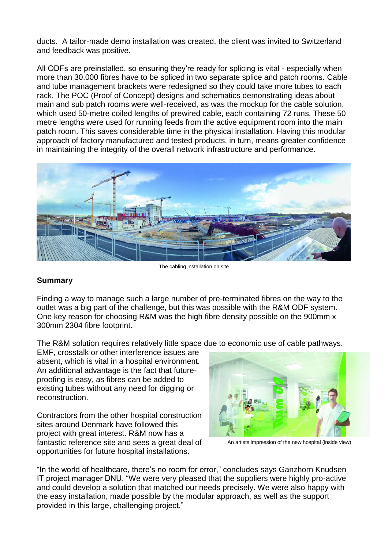ducts. A tailor-made demo installation was created, the client was invited to Switzerland and feedback was positive.

All ODFs are preinstalled, so ensuring they're ready for splicing is vital - especially when more than 30.000 fibres have to be spliced in two separate splice and patch rooms. Cable and tube management brackets were redesigned so they could take more tubes to each rack. The POC (Proof of Concept) designs and schematics demonstrating ideas about main and sub patch rooms were well-received, as was the mockup for the cable solution, which used 50-metre coiled lengths of prewired cable, each containing 72 runs. These 50 metre lengths were used for running feeds from the active equipment room into the main patch room. This saves considerable time in the physical installation. Having this modular approach of factory manufactured and tested products, in turn, means greater confidence in maintaining the integrity of the overall network infrastructure and performance.



The cabling installation on site

#### **Summary**

Finding a way to manage such a large number of pre-terminated fibres on the way to the outlet was a big part of the challenge, but this was possible with the R&M ODF system. One key reason for choosing R&M was the high fibre density possible on the 900mm x 300mm 2304 fibre footprint.

The R&M solution requires relatively little space due to economic use of cable pathways.

EMF, crosstalk or other interference issues are absent, which is vital in a hospital environment. An additional advantage is the fact that futureproofing is easy, as fibres can be added to existing tubes without any need for digging or reconstruction.

Contractors from the other hospital construction sites around Denmark have followed this project with great interest. R&M now has a fantastic reference site and sees a great deal of opportunities for future hospital installations.



An artists impression of the new hospital (inside view)

"In the world of healthcare, there's no room for error," concludes says Ganzhorn Knudsen IT project manager DNU. "We were very pleased that the suppliers were highly pro-active and could develop a solution that matched our needs precisely. We were also happy with the easy installation, made possible by the modular approach, as well as the support provided in this large, challenging project."